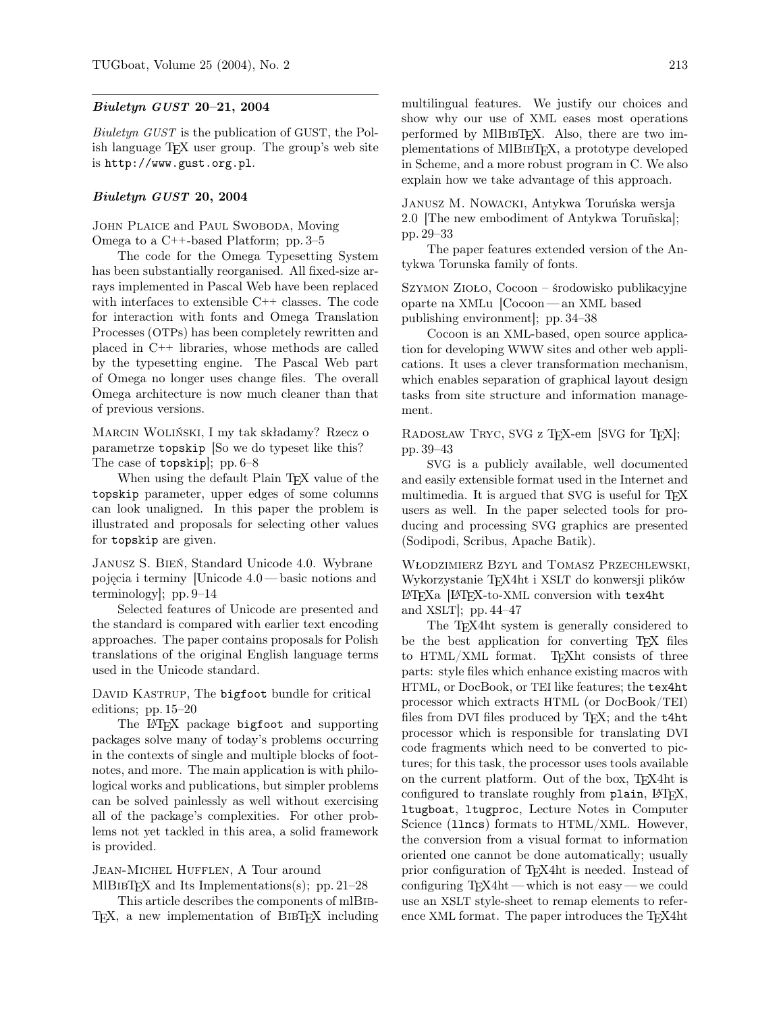## Biuletyn GUST 20–21, 2004

Biuletyn GUST is the publication of GUST, the Polish language TEX user group. The group's web site is http://www.gust.org.pl.

## Biuletyn GUST 20, 2004

JOHN PLAICE and PAUL SWOBODA, Moving Omega to a C++-based Platform; pp. 3–5

The code for the Omega Typesetting System has been substantially reorganised. All fixed-size arrays implemented in Pascal Web have been replaced with interfaces to extensible C++ classes. The code for interaction with fonts and Omega Translation Processes (OTPs) has been completely rewritten and placed in C++ libraries, whose methods are called by the typesetting engine. The Pascal Web part of Omega no longer uses change files. The overall Omega architecture is now much cleaner than that of previous versions.

Marcin Woliński, I my tak składamy? Rzecz o parametrze topskip [So we do typeset like this? The case of topskip]; pp. 6–8

When using the default Plain T<sub>EX</sub> value of the topskip parameter, upper edges of some columns can look unaligned. In this paper the problem is illustrated and proposals for selecting other values for topskip are given.

Janusz S. Bień, Standard Unicode 4.0. Wybrane pojęcia i terminy [Unicode 4.0— basic notions and terminology]; pp. 9–14

Selected features of Unicode are presented and the standard is compared with earlier text encoding approaches. The paper contains proposals for Polish translations of the original English language terms used in the Unicode standard.

DAVID KASTRUP, The bigfoot bundle for critical editions; pp. 15–20

The L<sup>A</sup>T<sub>F</sub>X package bigfoot and supporting packages solve many of today's problems occurring in the contexts of single and multiple blocks of footnotes, and more. The main application is with philological works and publications, but simpler problems can be solved painlessly as well without exercising all of the package's complexities. For other problems not yet tackled in this area, a solid framework is provided.

## Jean-Michel Hufflen, A Tour around

MlBIBT<sub>E</sub>X and Its Implementations(s); pp. 21–28 This article describes the components of mlBib-

T<sub>EX</sub>, a new implementation of BIBT<sub>EX</sub> including

multilingual features. We justify our choices and show why our use of XML eases most operations performed by MIBIBTEX. Also, there are two implementations of MIBIBTEX, a prototype developed in Scheme, and a more robust program in C. We also explain how we take advantage of this approach.

Janusz M. Nowacki, Antykwa Toruńska wersja 2.0 [The new embodiment of Antykwa Toruñska]; pp. 29–33

The paper features extended version of the Antykwa Torunska family of fonts.

Szymon Zioło, Cocoon – środowisko publikacyjne oparte na XMLu [Cocoon — an XML based publishing environment]; pp. 34–38

Cocoon is an XML-based, open source application for developing WWW sites and other web applications. It uses a clever transformation mechanism, which enables separation of graphical layout design tasks from site structure and information management.

RADOSŁAW TRYC, SVG z TEX-em [SVG for TEX]; pp. 39–43

SVG is a publicly available, well documented and easily extensible format used in the Internet and multimedia. It is argued that SVG is useful for T<sub>E</sub>X users as well. In the paper selected tools for producing and processing SVG graphics are presented (Sodipodi, Scribus, Apache Batik).

Włodzimierz Bzyl and Tomasz Przechlewski, Wykorzystanie TEX4ht i XSLT do konwersji plików LATEXa [LATEX-to-XML conversion with tex4ht and XSLT $\vert$ ; pp. 44–47

The TEX4ht system is generally considered to be the best application for converting T<sub>E</sub>X files to HTML/XML format. T<sub>F</sub>Xht consists of three parts: style files which enhance existing macros with HTML, or DocBook, or TEI like features; the tex4ht processor which extracts HTML (or DocBook/TEI) files from DVI files produced by T<sub>F</sub>X; and the t4ht processor which is responsible for translating DVI code fragments which need to be converted to pictures; for this task, the processor uses tools available on the current platform. Out of the box, TEX4ht is configured to translate roughly from plain, L<sup>AT</sup>FX, ltugboat, ltugproc, Lecture Notes in Computer Science (llncs) formats to HTML/XML. However, the conversion from a visual format to information oriented one cannot be done automatically; usually prior configuration of TEX4ht is needed. Instead of configuring TEX4ht — which is not easy — we could use an XSLT style-sheet to remap elements to reference XML format. The paper introduces the T<sub>E</sub>X4ht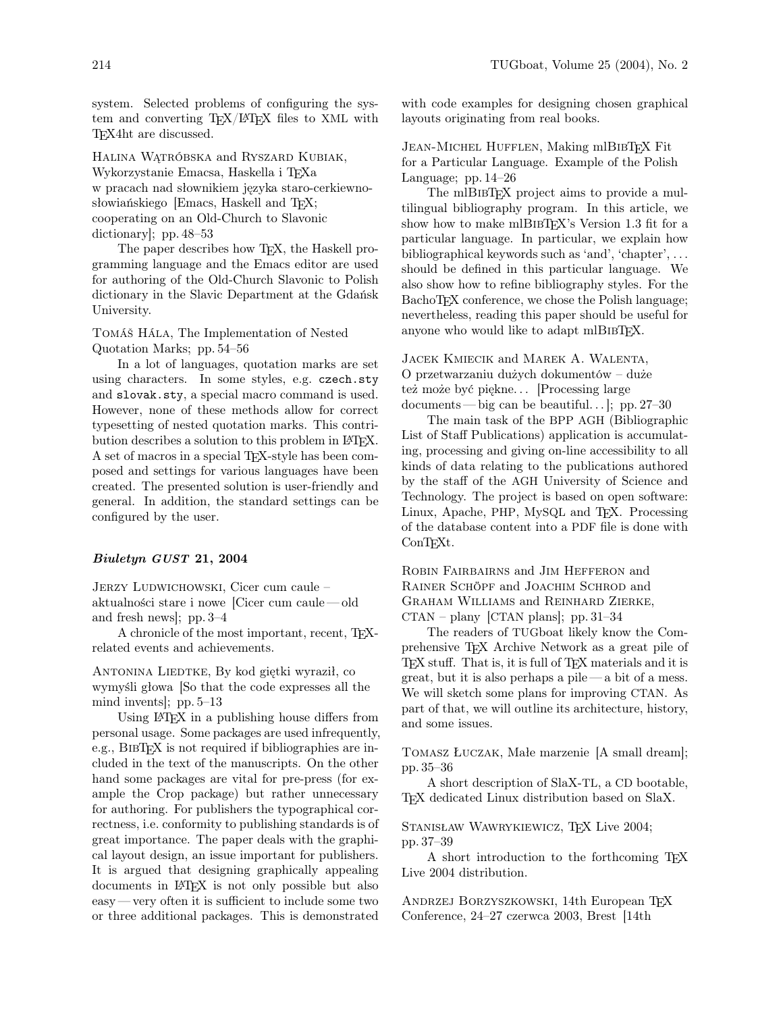system. Selected problems of configuring the system and converting TEX/LATEX files to XML with TEX4ht are discussed.

Halina Wątróbska and Ryszard Kubiak, Wykorzystanie Emacsa, Haskella i TEXa w pracach nad słownikiem języka staro-cerkiewnosłowiańskiego [Emacs, Haskell and TFX; cooperating on an Old-Church to Slavonic dictionary]; pp. 48–53

The paper describes how TEX, the Haskell programming language and the Emacs editor are used for authoring of the Old-Church Slavonic to Polish dictionary in the Slavic Department at the Gdańsk University.

Tomáš Hála, The Implementation of Nested Quotation Marks; pp. 54–56

In a lot of languages, quotation marks are set using characters. In some styles, e.g. czech.sty and slovak.sty, a special macro command is used. However, none of these methods allow for correct typesetting of nested quotation marks. This contribution describes a solution to this problem in IATFX. A set of macros in a special TEX-style has been composed and settings for various languages have been created. The presented solution is user-friendly and general. In addition, the standard settings can be configured by the user.

## Biuletyn GUST 21, 2004

JERZY LUDWICHOWSKI, Cicer cum caule – aktualności stare i nowe [Cicer cum caule — old and fresh news]; pp. 3–4

A chronicle of the most important, recent, TEXrelated events and achievements.

ANTONINA LIEDTKE, By kod giętki wyraził, co wymyśli głowa [So that the code expresses all the mind invents]; pp. 5–13

Using LATEX in a publishing house differs from personal usage. Some packages are used infrequently, e.g., BIBT<sub>F</sub>X is not required if bibliographies are included in the text of the manuscripts. On the other hand some packages are vital for pre-press (for example the Crop package) but rather unnecessary for authoring. For publishers the typographical correctness, i.e. conformity to publishing standards is of great importance. The paper deals with the graphical layout design, an issue important for publishers. It is argued that designing graphically appealing documents in LATEX is not only possible but also easy— very often it is sufficient to include some two or three additional packages. This is demonstrated

with code examples for designing chosen graphical layouts originating from real books.

JEAN-MICHEL HUFFLEN, Making mlBIBTFX Fit for a Particular Language. Example of the Polish Language; pp. 14–26

The mlBIBT<sub>F</sub>X project aims to provide a multilingual bibliography program. In this article, we show how to make mlB $IBTFX$ 's Version 1.3 fit for a particular language. In particular, we explain how bibliographical keywords such as 'and', 'chapter', . . . should be defined in this particular language. We also show how to refine bibliography styles. For the BachoT<sub>F</sub>X conference, we chose the Polish language; nevertheless, reading this paper should be useful for anyone who would like to adapt mlBIBTFX.

Jacek Kmiecik and Marek A. Walenta, O przetwarzaniu dużych dokumentów – duże też może być piękne... [Processing large documents — big can be beautiful...,  $\vert$ : pp. 27–30

The main task of the BPP AGH (Bibliographic List of Staff Publications) application is accumulating, processing and giving on-line accessibility to all kinds of data relating to the publications authored by the staff of the AGH University of Science and Technology. The project is based on open software: Linux, Apache, PHP, MySQL and T<sub>E</sub>X. Processing of the database content into a PDF file is done with ConTEXt.

Robin Fairbairns and Jim Hefferon and Rainer Schöpf and Joachim Schrod and Graham Williams and Reinhard Zierke,  $CTAN -$  plany  $[CTAN$  plans]; pp. 31–34

The readers of TUGboat likely know the Comprehensive TEX Archive Network as a great pile of TEX stuff. That is, it is full of TEX materials and it is great, but it is also perhaps a pile — a bit of a mess. We will sketch some plans for improving CTAN. As part of that, we will outline its architecture, history, and some issues.

Tomasz Łuczak, Małe marzenie [A small dream]; pp. 35–36

A short description of SlaX-TL, a CD bootable, TEX dedicated Linux distribution based on SlaX.

STANISŁAW WAWRYKIEWICZ, TFX Live 2004; pp. 37–39

A short introduction to the forthcoming TEX Live 2004 distribution.

ANDRZEJ BORZYSZKOWSKI, 14th European TFX Conference, 24–27 czerwca 2003, Brest [14th